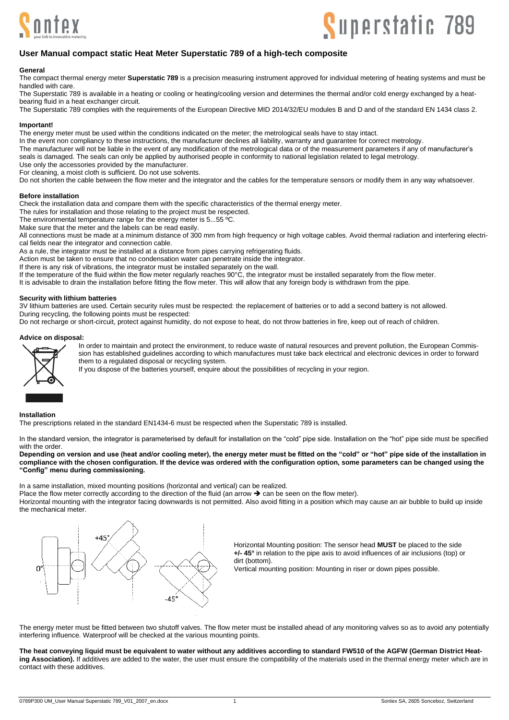



## **User Manual compact static Heat Meter Superstatic 789 of a high-tech composite**

#### **General**

The compact thermal energy meter **Superstatic 789** is a precision measuring instrument approved for individual metering of heating systems and must be handled with care.

The Superstatic 789 is available in a heating or cooling or heating/cooling version and determines the thermal and/or cold energy exchanged by a heatbearing fluid in a heat exchanger circuit.

The Superstatic 789 complies with the requirements of the European Directive MID 2014/32/EU modules B and D and of the standard EN 1434 class 2.

### **Important!**

The energy meter must be used within the conditions indicated on the meter; the metrological seals have to stay intact.

In the event non compliancy to these instructions, the manufacturer declines all liability, warranty and guarantee for correct metrology.

The manufacturer will not be liable in the event of any modification of the metrological data or of the measurement parameters if any of manufacturer's

seals is damaged. The seals can only be applied by authorised people in conformity to national legislation related to legal metrology.

Use only the accessories provided by the manufacturer.

For cleaning, a moist cloth is sufficient. Do not use solvents.

Do not shorten the cable between the flow meter and the integrator and the cables for the temperature sensors or modify them in any way whatsoever.

#### **Before installation**

Check the installation data and compare them with the specific characteristics of the thermal energy meter.

The rules for installation and those relating to the project must be respected.

The environmental temperature range for the energy meter is 5...55 ºC.

Make sure that the meter and the labels can be read easily.

All connections must be made at a minimum distance of 300 mm from high frequency or high voltage cables. Avoid thermal radiation and interfering electrical fields near the integrator and connection cable.

As a rule, the integrator must be installed at a distance from pipes carrying refrigerating fluids.

Action must be taken to ensure that no condensation water can penetrate inside the integrator.

If there is any risk of vibrations, the integrator must be installed separately on the wall.

If the temperature of the fluid within the flow meter regularly reaches 90°C, the integrator must be installed separately from the flow meter.

It is advisable to drain the installation before fitting the flow meter. This will allow that any foreign body is withdrawn from the pipe.

## **Security with lithium batteries**

3V lithium batteries are used. Certain security rules must be respected: the replacement of batteries or to add a second battery is not allowed. During recycling, the following points must be respected:

Do not recharge or short-circuit, protect against humidity, do not expose to heat, do not throw batteries in fire, keep out of reach of children.

#### **Advice on disposal:**



In order to maintain and protect the environment, to reduce waste of natural resources and prevent pollution, the European Commission has established quidelines according to which manufactures must take back electrical and electronic devices in order to forward them to a regulated disposal or recycling system.

If you dispose of the batteries yourself, enquire about the possibilities of recycling in your region.

#### **Installation**

The prescriptions related in the standard EN1434-6 must be respected when the Superstatic 789 is installed.

In the standard version, the integrator is parameterised by default for installation on the "cold" pipe side. Installation on the "hot" pipe side must be specified with the order.

**Depending on version and use (heat and/or cooling meter), the energy meter must be fitted on the "cold" or "hot" pipe side of the installation in compliance with the chosen configuration. If the device was ordered with the configuration option, some parameters can be changed using the "Config" menu during commissioning.**

In a same installation, mixed mounting positions (horizontal and vertical) can be realized.

Place the flow meter correctly according to the direction of the fluid (an arrow  $\rightarrow$  can be seen on the flow meter).

Horizontal mounting with the integrator facing downwards is not permitted. Also avoid fitting in a position which may cause an air bubble to build up inside the mechanical meter.



Horizontal Mounting position: The sensor head **MUST** be placed to the side **+/- 45°** in relation to the pipe axis to avoid influences of air inclusions (top) or dirt (bottom).

Vertical mounting position: Mounting in riser or down pipes possible.

The energy meter must be fitted between two shutoff valves. The flow meter must be installed ahead of any monitoring valves so as to avoid any potentially interfering influence. Waterproof will be checked at the various mounting points.

**The heat conveying liquid must be equivalent to water without any additives according to standard FW510 of the AGFW (German District Heating Association).** If additives are added to the water, the user must ensure the compatibility of the materials used in the thermal energy meter which are in contact with these additives.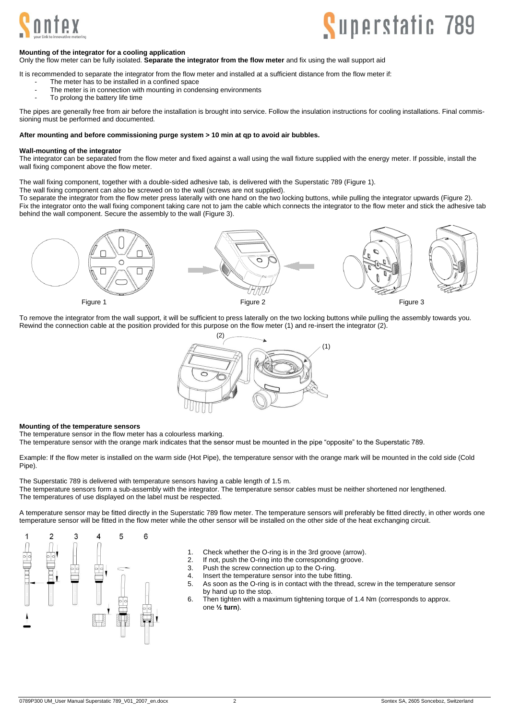

# **Superstatic 789**

#### **Mounting of the integrator for a cooling application**

Only the flow meter can be fully isolated. **Separate the integrator from the flow meter** and fix using the wall support aid

It is recommended to separate the integrator from the flow meter and installed at a sufficient distance from the flow meter if:

- The meter has to be installed in a confined space
- The meter is in connection with mounting in condensing environments
- To prolong the battery life time

The pipes are generally free from air before the installation is brought into service. Follow the insulation instructions for cooling installations. Final commissioning must be performed and documented.

## **After mounting and before commissioning purge system > 10 min at qp to avoid air bubbles.**

#### **Wall-mounting of the integrator**

The integrator can be separated from the flow meter and fixed against a wall using the wall fixture supplied with the energy meter. If possible, install the wall fixing component above the flow meter.

The wall fixing component, together with a double-sided adhesive tab, is delivered with the Superstatic 789 (Figure 1).

The wall fixing component can also be screwed on to the wall (screws are not supplied).

To separate the integrator from the flow meter press laterally with one hand on the two locking buttons, while pulling the integrator upwards (Figure 2). Fix the integrator onto the wall fixing component taking care not to jam the cable which connects the integrator to the flow meter and stick the adhesive tab behind the wall component. Secure the assembly to the wall (Figure 3).



To remove the integrator from the wall support, it will be sufficient to press laterally on the two locking buttons while pulling the assembly towards you. Rewind the connection cable at the position provided for this purpose on the flow meter (1) and re-insert the integrator (2).



#### **Mounting of the temperature sensors**

The temperature sensor in the flow meter has a colourless marking.

The temperature sensor with the orange mark indicates that the sensor must be mounted in the pipe "opposite" to the Superstatic 789.

Example: If the flow meter is installed on the warm side (Hot Pipe), the temperature sensor with the orange mark will be mounted in the cold side (Cold Pipe).

The Superstatic 789 is delivered with temperature sensors having a cable length of 1.5 m. The temperature sensors form a sub-assembly with the integrator. The temperature sensor cables must be neither shortened nor lengthened. The temperatures of use displayed on the label must be respected.

A temperature sensor may be fitted directly in the Superstatic 789 flow meter. The temperature sensors will preferably be fitted directly, in other words one temperature sensor will be fitted in the flow meter while the other sensor will be installed on the other side of the heat exchanging circuit.



- 1. Check whether the O-ring is in the 3rd groove (arrow).<br>2. If not push the O-ring into the corresponding groove
- If not, push the O-ring into the corresponding groove.
- 3. Push the screw connection up to the O-ring.
- 4. Insert the temperature sensor into the tube fitting.<br>5. As soon as the O-ring is in contact with the thread
	- As soon as the O-ring is in contact with the thread, screw in the temperature sensor by hand up to the stop.
- 6. Then tighten with a maximum tightening torque of 1.4 Nm (corresponds to approx. one **½ turn**).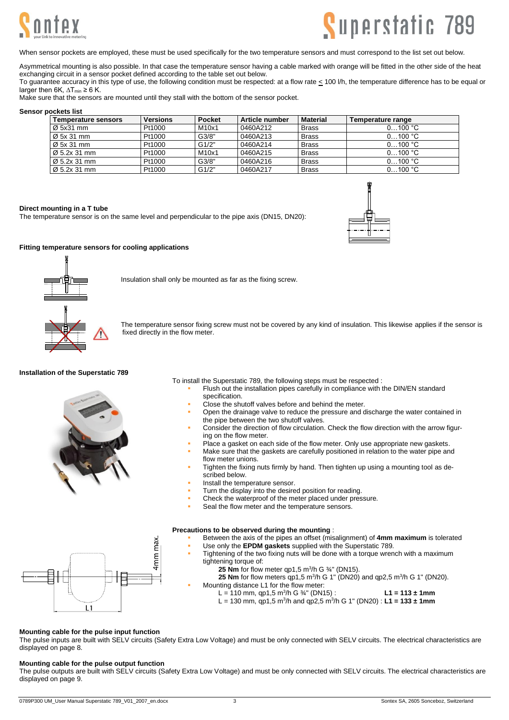



When sensor pockets are employed, these must be used specifically for the two temperature sensors and must correspond to the list set out below.

Asymmetrical mounting is also possible. In that case the temperature sensor having a cable marked with orange will be fitted in the other side of the heat exchanging circuit in a sensor pocket defined according to the table set out below.

To guarantee accuracy in this type of use, the following condition must be respected: at a flow rate < 100 l/h, the temperature difference has to be equal or larger then 6K,  $\Delta T_{min} \geq 6$  K.

Make sure that the sensors are mounted until they stall with the bottom of the sensor pocket.

#### **Sensor pockets list**

| Temperature sensors      | <b>Versions</b> | <b>Pocket</b><br>Article number |          | <b>Material</b> | Temperature range |  |  |  |  |
|--------------------------|-----------------|---------------------------------|----------|-----------------|-------------------|--|--|--|--|
| $\varnothing$ 5x31 mm    | Pt1000          | M10x1                           | 0460A212 | <b>Brass</b>    | 0100 °C           |  |  |  |  |
| Ø 5x 31 mm               | Pt1000          | G3/8"                           | 0460A213 | <b>Brass</b>    | 0100 °C           |  |  |  |  |
| Ø 5x 31 mm               | Pt1000          | G1/2"                           | 0460A214 | <b>Brass</b>    | 0100 °C           |  |  |  |  |
| $\varnothing$ 5.2x 31 mm | Pt1000          | M10x1                           | 0460A215 | <b>Brass</b>    | 0100 °C           |  |  |  |  |
| $\varnothing$ 5.2x 31 mm | Pt1000          | G3/8"                           | 0460A216 | <b>Brass</b>    | 0100 °C           |  |  |  |  |
| $\varnothing$ 5.2x 31 mm | Pt1000          | G1/2"                           | 0460A217 | <b>Brass</b>    | 0100 °C           |  |  |  |  |

#### **Direct mounting in a T tube**

The temperature sensor is on the same level and perpendicular to the pipe axis (DN15, DN20):

4mm max



## **Fitting temperature sensors for cooling applications**



Insulation shall only be mounted as far as the fixing screw.

The temperature sensor fixing screw must not be covered by any kind of insulation. This likewise applies if the sensor is fixed directly in the flow meter.

#### **Installation of the Superstatic 789**



To install the Superstatic 789, the following steps must be respected :

- Flush out the installation pipes carefully in compliance with the DIN/EN standard specification.
- Close the shutoff valves before and behind the meter.
- Open the drainage valve to reduce the pressure and discharge the water contained in the pipe between the two shutoff valves.
- Consider the direction of flow circulation. Check the flow direction with the arrow figuring on the flow meter.
- Place a gasket on each side of the flow meter. Only use appropriate new gaskets.
- Make sure that the gaskets are carefully positioned in relation to the water pipe and flow meter unions.
- Tighten the fixing nuts firmly by hand. Then tighten up using a mounting tool as described below.
- Install the temperature sensor.
- Turn the display into the desired position for reading.
- Check the waterproof of the meter placed under pressure.
- Seal the flow meter and the temperature sensors.

## **Precautions to be observed during the mounting** :

- Between the axis of the pipes an offset (misalignment) of 4mm maximum is tolerated
	- Use only the **EPDM gaskets** supplied with the Superstatic 789.
- Tightening of the two fixing nuts will be done with a torque wrench with a maximum tightening torque of:
	- **25 Nm** for flow meter  $qp1,5$  m<sup>3</sup>/h G  $\frac{3}{4}$ " (DN15).
	- **25 Nm** for flow meters  $qp1,5$  m<sup>3</sup>/h G 1" (DN20) and  $qp2,5$  m<sup>3</sup>/h G 1" (DN20).
	- Mounting distance L1 for the flow meter:
		- $L = 110$  mm, qp1,5 m<sup>3</sup>/h G <sup>3</sup>/<sub>4</sub>" (DN15) : **L1 = 113 ± 1mm**
		- L = 130 mm, qp1,5 m<sup>3</sup> /h and qp2,5 m<sup>3</sup> /h G 1" (DN20) : **L1 = 133 ± 1mm**

## **Mounting cable for the pulse input function**

 $L1$ 

The pulse inputs are built with SELV circuits (Safety Extra Low Voltage) and must be only connected with SELV circuits. The electrical characteristics are displayed on page 8.

## **Mounting cable for the pulse output function**

The pulse outputs are built with SELV circuits (Safety Extra Low Voltage) and must be only connected with SELV circuits. The electrical characteristics are displayed on page 9.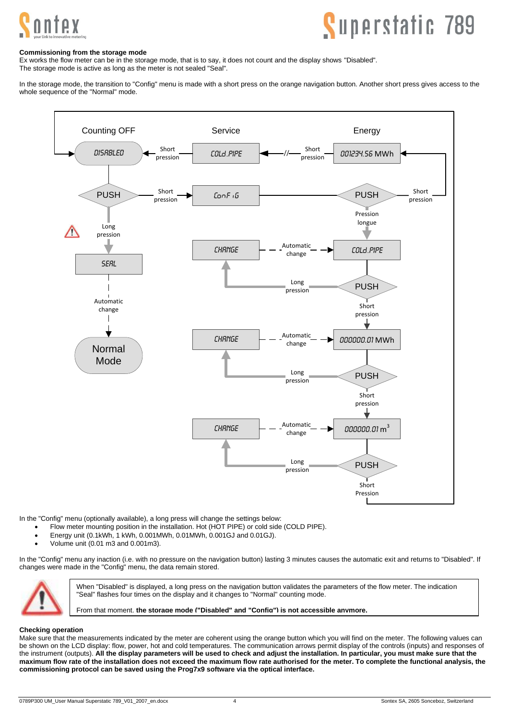

# **Superstatic 789**

## **Commissioning from the storage mode**

Ex works the flow meter can be in the storage mode, that is to say, it does not count and the display shows "Disabled". The storage mode is active as long as the meter is not sealed "Seal".

In the storage mode, the transition to "Config" menu is made with a short press on the orange navigation button. Another short press gives access to the whole sequence of the "Normal" mode.



In the "Config" menu (optionally available), a long press will change the settings below:

- Flow meter mounting position in the installation. Hot (HOT PIPE) or cold side (COLD PIPE).
- Energy unit (0.1kWh, 1 kWh, 0.001MWh, 0.01MWh, 0.001GJ and 0.01GJ).
- Volume unit (0.01 m3 and 0.001m3).

In the "Config" menu any inaction (i.e. with no pressure on the navigation button) lasting 3 minutes causes the automatic exit and returns to "Disabled". If changes were made in the "Config" menu, the data remain stored.



When "Disabled" is displayed, a long press on the navigation button validates the parameters of the flow meter. The indication "Seal" flashes four times on the display and it changes to "Normal" counting mode.

From that moment, **the storage mode ("Disabled" and "Config") is not accessible anymore.**

#### **Checking operation**

Make sure that the measurements indicated by the meter are coherent using the orange button which you will find on the meter. The following values can be shown on the LCD display: flow, power, hot and cold temperatures. The communication arrows permit display of the controls (inputs) and responses of the instrument (outputs). **All the display parameters will be used to check and adjust the installation. In particular, you must make sure that the maximum flow rate of the installation does not exceed the maximum flow rate authorised for the meter. To complete the functional analysis, the commissioning protocol can be saved using the Prog7x9 software via the optical interface.**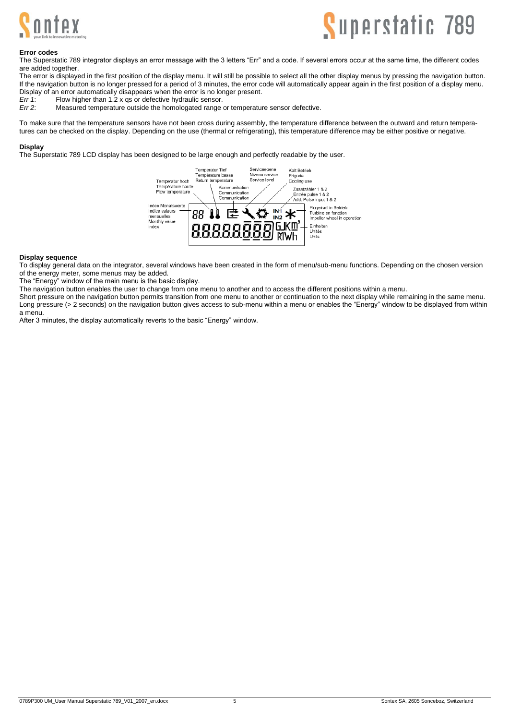



#### **Error codes**

The Superstatic 789 integrator displays an error message with the 3 letters "Err" and a code. If several errors occur at the same time, the different codes are added together.

The error is displayed in the first position of the display menu. It will still be possible to select all the other display menus by pressing the navigation button. If the navigation button is no longer pressed for a period of 3 minutes, the error code will automatically appear again in the first position of a display menu. Display of an error automatically disappears when the error is no longer present.<br>Frr 1: Flow bigher than 1.2 x gs or defective bydraulic sensor

*Err 1*: Flow higher than 1.2 x qs or defective hydraulic sensor.<br>*Err 2*: Measured temperature outside the homologated range

Measured temperature outside the homologated range or temperature sensor defective.

To make sure that the temperature sensors have not been cross during assembly, the temperature difference between the outward and return temperatures can be checked on the display. Depending on the use (thermal or refrigerating), this temperature difference may be either positive or negative.

#### **Display**

The Superstatic 789 LCD display has been designed to be large enough and perfectly readable by the user.



#### **Display sequence**

To display general data on the integrator, several windows have been created in the form of menu/sub-menu functions. Depending on the chosen version of the energy meter, some menus may be added.

The "Energy" window of the main menu is the basic display.

The navigation button enables the user to change from one menu to another and to access the different positions within a menu.

Short pressure on the navigation button permits transition from one menu to another or continuation to the next display while remaining in the same menu. Long pressure (> 2 seconds) on the navigation button gives access to sub-menu within a menu or enables the "Energy" window to be displayed from within a menu.

After 3 minutes, the display automatically reverts to the basic "Energy" window.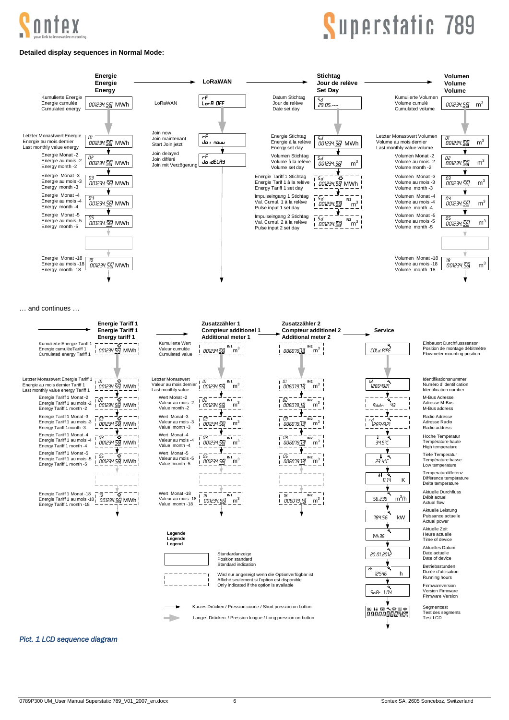

# Superstatic 789

## **Detailed display sequences in Normal Mode:**



… and continues …



## <span id="page-5-0"></span>*Pict. 1 LCD sequence diagram*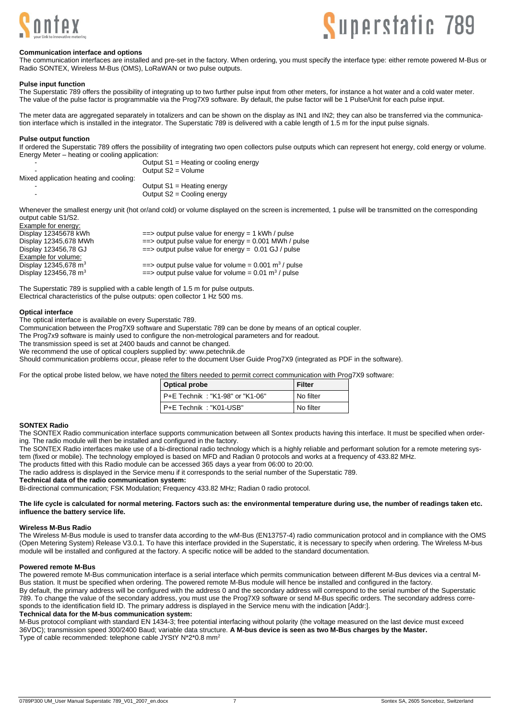



#### **Communication interface and options**

The communication interfaces are installed and pre-set in the factory. When ordering, you must specify the interface type: either remote powered M-Bus or Radio SONTEX, Wireless M-Bus (OMS), LoRaWAN or two pulse outputs.

#### **Pulse input function**

The Superstatic 789 offers the possibility of integrating up to two further pulse input from other meters, for instance a hot water and a cold water meter. The value of the pulse factor is programmable via the Prog7X9 software. By default, the pulse factor will be 1 Pulse/Unit for each pulse input.

The meter data are aggregated separately in totalizers and can be shown on the display as IN1 and IN2; they can also be transferred via the communication interface which is installed in the integrator. The Superstatic 789 is delivered with a cable length of 1.5 m for the input pulse signals.

#### **Pulse output function**

If ordered the Superstatic 789 offers the possibility of integrating two open collectors pulse outputs which can represent hot energy, cold energy or volume. Energy Meter – heating or cooling application:

| -                                      | Output S1 = Heating or cooling energy<br>Output $S2 = Volume$ |  |  |  |
|----------------------------------------|---------------------------------------------------------------|--|--|--|
| Mixed application heating and cooling: |                                                               |  |  |  |
|                                        | Output $S1$ = Heating energy                                  |  |  |  |
| ۰                                      | Output $S2 =$ Cooling energy                                  |  |  |  |

Whenever the smallest energy unit (hot or/and cold) or volume displayed on the screen is incremented, 1 pulse will be transmitted on the corresponding output cable S1/S2.

| Example for energy:              |                                                                             |
|----------------------------------|-----------------------------------------------------------------------------|
| Display 12345678 kWh             | $\equiv$ > output pulse value for energy = 1 kWh / pulse                    |
| Display 12345,678 MWh            | $\equiv$ > output pulse value for energy = 0.001 MWh / pulse                |
| Display 123456,78 GJ             | $\equiv$ > output pulse value for energy = 0.01 GJ / pulse                  |
| Example for volume:              |                                                                             |
| Display 12345,678 m <sup>3</sup> | $\epsilon$ = > output pulse value for volume = 0.001 m <sup>3</sup> / pulse |
| Display 123456,78 m <sup>3</sup> | $\equiv$ > output pulse value for volume = 0.01 m <sup>3</sup> / pulse      |
|                                  |                                                                             |

The Superstatic 789 is supplied with a cable length of 1.5 m for pulse outputs. Electrical characteristics of the pulse outputs: open collector 1 Hz 500 ms.

#### **Optical interface**

The optical interface is available on every Superstatic 789.

Communication between the Prog7X9 software and Superstatic 789 can be done by means of an optical coupler.

The Prog7x9 software is mainly used to configure the non-metrological parameters and for readout.

The transmission speed is set at 2400 bauds and cannot be changed.

We recommend the use of optical couplers supplied by[: www.petechnik.de](http://www.petechnik.de/)

Should communication problems occur, please refer to the document User Guide Prog7X9 (integrated as PDF in the software).

For the optical probe listed below, we have noted the filters needed to permit correct communication with Prog7X9 software:

| Optical probe                   | l Filter  |
|---------------------------------|-----------|
| P+E Technik: "K1-98" or "K1-06" | No filter |
| P+E Technik: "K01-USB"          | No filter |

## **SONTEX Radio**

The SONTEX Radio communication interface supports communication between all Sontex products having this interface. It must be specified when ordering. The radio module will then be installed and configured in the factory.

The SONTEX Radio interfaces make use of a bi-directional radio technology which is a highly reliable and performant solution for a remote metering system (fixed or mobile). The technology employed is based on MFD and Radian 0 protocols and works at a frequency of 433.82 MHz.

The products fitted with this Radio module can be accessed 365 days a year from 06:00 to 20:00.

The radio address is displayed in the Service menu if it corresponds to the serial number of the Superstatic 789.

**Technical data of the radio communication system:**

Bi-directional communication; FSK Modulation; Frequency 433.82 MHz; Radian 0 radio protocol.

#### **The life cycle is calculated for normal metering. Factors such as: the environmental temperature during use, the number of readings taken etc. influence the battery service life.**

### **Wireless M-Bus Radio**

The Wireless M-Bus module is used to transfer data according to the wM-Bus (EN13757-4) radio communication protocol and in compliance with the OMS (Open Metering System) Release V3.0.1. To have this interface provided in the Superstatic, it is necessary to specify when ordering. The Wireless M-bus module will be installed and configured at the factory. A specific notice will be added to the standard documentation.

#### **Powered remote M-Bus**

The powered remote M-Bus communication interface is a serial interface which permits communication between different M-Bus devices via a central M-Bus station. It must be specified when ordering. The powered remote M-Bus module will hence be installed and configured in the factory.

By default, the primary address will be configured with the address 0 and the secondary address will correspond to the serial number of the Superstatic 789. To change the value of the secondary address, you must use the Prog7X9 software or send M-Bus specific orders. The secondary address corresponds to the identification field ID. The primary address is displayed in the Service menu with the indication [Addr:].

### **Technical data for the M-bus communication system:**

M-Bus protocol compliant with standard EN 1434-3; free potential interfacing without polarity (the voltage measured on the last device must exceed 36VDC); transmission speed 300/2400 Baud; variable data structure. **A M-bus device is seen as two M-Bus charges by the Master.** Type of cable recommended: telephone cable JYStY N\*2\*0.8 mm2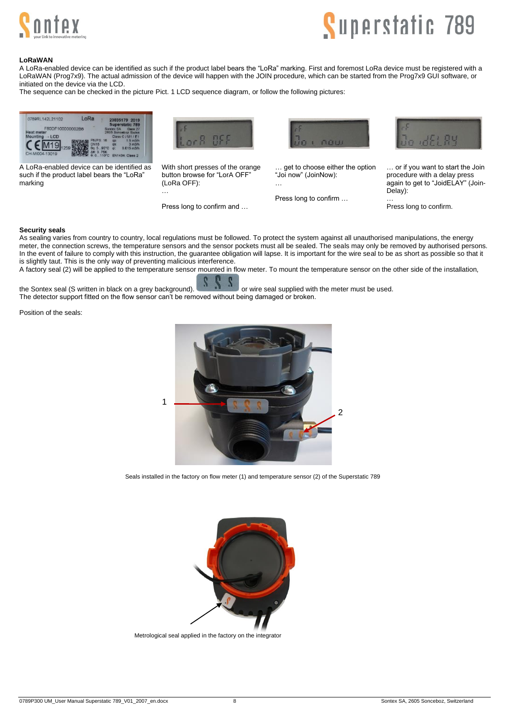



### **LoRaWAN**

A LoRa-enabled device can be identified as such if the product label bears the "LoRa" marking. First and foremost LoRa device must be registered with a LoRaWAN (Prog7x9). The actual admission of the device will happen with the JOIN procedure, which can be started from the Prog7x9 GUI software, or initiated on the device via the LCD.

The sequence can be checked in the picture Pict. 1 [LCD sequence diagram,](#page-5-0) or follow the following pictures:



A LoRa-enabled device can be identified as such if the product label bears the "LoRa" marking



With short presses of the orange button browse for "LorA OFF" (LoRa OFF): …

Press long to confirm and …



get to choose either the option "Joi now" (JoinNow): …

Press long to confirm …



… or if you want to start the Join procedure with a delay press again to get to "JoidELAY" (Join-Delay):

Press long to confirm.

…

#### **Security seals**

As sealing varies from country to country, local regulations must be followed. To protect the system against all unauthorised manipulations, the energy meter, the connection screws, the temperature sensors and the sensor pockets must all be sealed. The seals may only be removed by authorised persons. In the event of failure to comply with this instruction, the guarantee obligation will lapse. It is important for the wire seal to be as short as possible so that it is slightly taut. This is the only way of preventing malicious interference.

A factory seal (2) will be applied to the temperature sensor mounted in flow meter. To mount the temperature sensor on the other side of the installation,

the Sontex seal (S written in black on a grey background). **The seal supplied with the meter must be used.** The detector support fitted on the flow sensor can't be removed without being damaged or broken.

Position of the seals:



Seals installed in the factory on flow meter (1) and temperature sensor (2) of the Superstatic 789



Metrological seal applied in the factory on the integrator